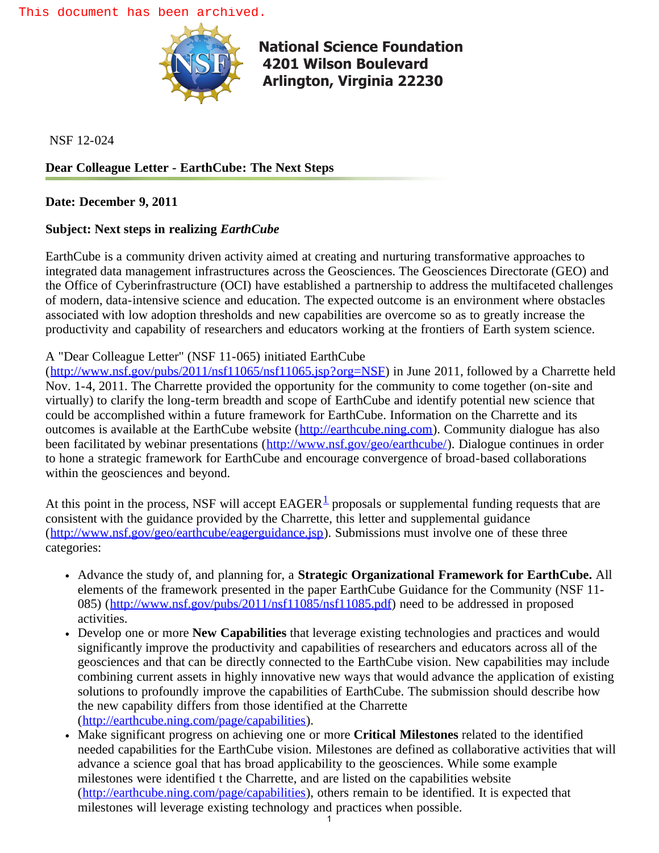

**National Science Foundation  [4201 Wilson B](http://www.acpt.nsf.gov/index.jsp)oulevard Arlington, Virginia 22230** 

NSF 12-024

## **Dear Colleague Letter - EarthCube: The Next Steps**

**Date: December 9, 2011**

## **Subject: Next steps in realizing** *EarthCube*

EarthCube is a community driven activity aimed at creating and nurturing transformative approaches to integrated data management infrastructures across the Geosciences. The Geosciences Directorate (GEO) and the Office of Cyberinfrastructure (OCI) have established a partnership to address the multifaceted challenges of modern, data-intensive science and education. The expected outcome is an environment where obstacles associated with low adoption thresholds and new capabilities are overcome so as to greatly increase the productivity and capability of researchers and educators working at the frontiers of Earth system science.

## A "Dear Colleague Letter" (NSF 11-065) initiated EarthCube

([http://www.nsf.gov/pubs/2011/nsf11065/nsf11065.jsp?org=NSF\)](http://www.nsf.gov/pubs/2011/nsf11065/nsf11065.jsp?org=NSF) in June 2011, followed by a Charrette held Nov. 1-4, 2011. The Charrette provided the opportunity for the community to come together (on-site and virtually) to clarify the long-term breadth and scope of EarthCube and identify potential new science that could be accomplished within a future framework for EarthCube. Information on the Charrette and its outcomes is available at the EarthCube website ([http://earthcube.ning.com\)](http://www.nsf.gov/cgi-bin/goodbye?http://earthcube.ning.com). Community dialogue has also been facilitated by webinar presentations ([http://www.nsf.gov/geo/earthcube/\)](http://www.nsf.gov/geo/earthcube/). Dialogue continues in order to hone a strategic framework for EarthCube and encourage convergence of broad-based collaborations within the geosciences and beyond.

At this point in the process, NSF will accept  $EAGER^{\perp}$  proposals or supplemental funding requests that are consistent with the guidance provided by the Charrette, this letter and supplemental guidance ([http://www.nsf.gov/geo/earthcube/eagerguidance.jsp\)](http://www.nsf.gov/geo/earthcube/eagerguidance.jsp). Submissions must involve one of these three categories:

- Advance the study of, and planning for, a **Strategic Organizational Framework for EarthCube.** All elements of the framework presented in the paper EarthCube Guidance for the Community (NSF 11 085) ([http://www.nsf.gov/pubs/2011/nsf11085/nsf11085.pdf\)](http://www.nsf.gov/pubs/2011/nsf11085/nsf11085.pdf) need to be addressed in proposed activities.
- Develop one or more **New Capabilities** that leverage existing technologies and practices and would significantly improve the productivity and capabilities of researchers and educators across all of the geosciences and that can be directly connected to the EarthCube vision. New capabilities may include combining current assets in highly innovative new ways that would advance the application of existing solutions to profoundly improve the capabilities of EarthCube. The submission should describe how the new capability differs from those identified at the Charrette ([http://earthcube.ning.com/page/capabilities\)](http://www.nsf.gov/cgi-bin/goodbye?http://earthcube.ning.com/page/capabilities).
- Make significant progress on achieving one or more **Critical Milestones** related to the identified needed capabilities for the EarthCube vision. Milestones are defined as collaborative activities that will advance a science goal that has broad applicability to the geosciences. While some example milestones were identified t the Charrette, and are listed on the capabilities website ([http://earthcube.ning.com/page/capabilities\)](http://earthcube.ning.com/page/capabilities), others remain to be identified. It is expected that milestones will leverage existing technology and practices when possible.